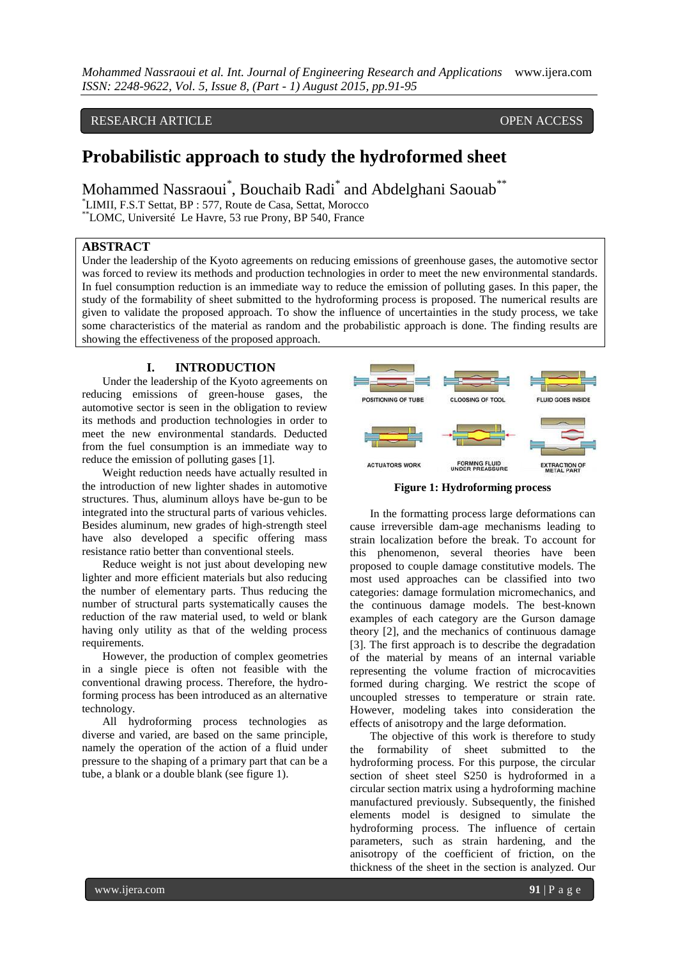*Mohammed Nassraoui et al. Int. Journal of Engineering Research and Applications* www.ijera.com *ISSN: 2248-9622, Vol. 5, Issue 8, (Part - 1) August 2015, pp.91-95*

# RESEARCH ARTICLE OPEN ACCESS

# **Probabilistic approach to study the hydroformed sheet**

Mohammed Nassraoui<sup>\*</sup>, Bouchaib Radi<sup>\*</sup> and Abdelghani Saouab<sup>\*\*</sup>

\*LIMII, F.S.T Settat, BP : 577, Route de Casa, Settat, Morocco

\*\*LOMC, Université Le Havre, 53 rue Prony, BP 540, France

#### **ABSTRACT**

Under the leadership of the Kyoto agreements on reducing emissions of greenhouse gases, the automotive sector was forced to review its methods and production technologies in order to meet the new environmental standards. In fuel consumption reduction is an immediate way to reduce the emission of polluting gases. In this paper, the study of the formability of sheet submitted to the hydroforming process is proposed. The numerical results are given to validate the proposed approach. To show the influence of uncertainties in the study process, we take some characteristics of the material as random and the probabilistic approach is done. The finding results are showing the effectiveness of the proposed approach.

### **I. INTRODUCTION**

Under the leadership of the Kyoto agreements on reducing emissions of green-house gases, the automotive sector is seen in the obligation to review its methods and production technologies in order to meet the new environmental standards. Deducted from the fuel consumption is an immediate way to reduce the emission of polluting gases [1].

Weight reduction needs have actually resulted in the introduction of new lighter shades in automotive structures. Thus, aluminum alloys have be-gun to be integrated into the structural parts of various vehicles. Besides aluminum, new grades of high-strength steel have also developed a specific offering mass resistance ratio better than conventional steels.

Reduce weight is not just about developing new lighter and more efficient materials but also reducing the number of elementary parts. Thus reducing the number of structural parts systematically causes the reduction of the raw material used, to weld or blank having only utility as that of the welding process requirements.

However, the production of complex geometries in a single piece is often not feasible with the conventional drawing process. Therefore, the hydroforming process has been introduced as an alternative technology.

All hydroforming process technologies as diverse and varied, are based on the same principle, namely the operation of the action of a fluid under pressure to the shaping of a primary part that can be a tube, a blank or a double blank (see figure 1).



**Figure 1: Hydroforming process**

In the formatting process large deformations can cause irreversible dam-age mechanisms leading to strain localization before the break. To account for this phenomenon, several theories have been proposed to couple damage constitutive models. The most used approaches can be classified into two categories: damage formulation micromechanics, and the continuous damage models. The best-known examples of each category are the Gurson damage theory [2], and the mechanics of continuous damage [3]. The first approach is to describe the degradation of the material by means of an internal variable representing the volume fraction of microcavities formed during charging. We restrict the scope of uncoupled stresses to temperature or strain rate. However, modeling takes into consideration the effects of anisotropy and the large deformation.

The objective of this work is therefore to study the formability of sheet submitted to the hydroforming process. For this purpose, the circular section of sheet steel S250 is hydroformed in a circular section matrix using a hydroforming machine manufactured previously. Subsequently, the finished elements model is designed to simulate the hydroforming process. The influence of certain parameters, such as strain hardening, and the anisotropy of the coefficient of friction, on the thickness of the sheet in the section is analyzed. Our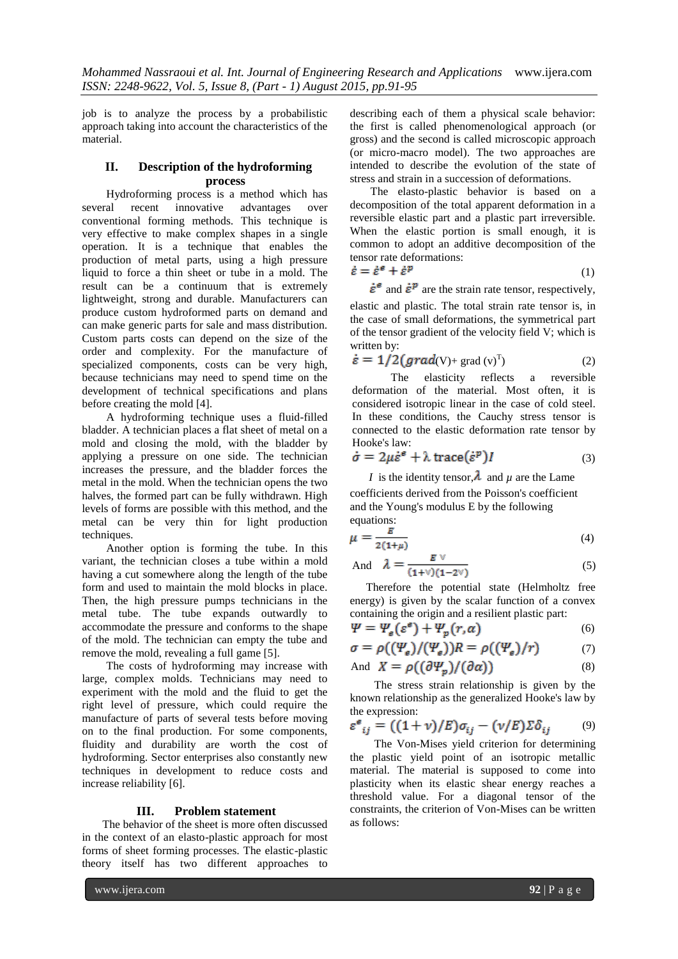job is to analyze the process by a probabilistic approach taking into account the characteristics of the material.

## **II. Description of the hydroforming process**

Hydroforming process is a method which has several recent innovative advantages over conventional forming methods. This technique is very effective to make complex shapes in a single operation. It is a technique that enables the production of metal parts, using a high pressure liquid to force a thin sheet or tube in a mold. The result can be a continuum that is extremely lightweight, strong and durable. Manufacturers can produce custom hydroformed parts on demand and can make generic parts for sale and mass distribution. Custom parts costs can depend on the size of the order and complexity. For the manufacture of specialized components, costs can be very high, because technicians may need to spend time on the development of technical specifications and plans before creating the mold [4].

A hydroforming technique uses a fluid-filled bladder. A technician places a flat sheet of metal on a mold and closing the mold, with the bladder by applying a pressure on one side. The technician increases the pressure, and the bladder forces the metal in the mold. When the technician opens the two halves, the formed part can be fully withdrawn. High levels of forms are possible with this method, and the metal can be very thin for light production techniques.

Another option is forming the tube. In this variant, the technician closes a tube within a mold having a cut somewhere along the length of the tube form and used to maintain the mold blocks in place. Then, the high pressure pumps technicians in the metal tube. The tube expands outwardly to accommodate the pressure and conforms to the shape of the mold. The technician can empty the tube and remove the mold, revealing a full game [5].

The costs of hydroforming may increase with large, complex molds. Technicians may need to experiment with the mold and the fluid to get the right level of pressure, which could require the manufacture of parts of several tests before moving on to the final production. For some components, fluidity and durability are worth the cost of hydroforming. Sector enterprises also constantly new techniques in development to reduce costs and increase reliability [6].

#### **III. Problem statement**

The behavior of the sheet is more often discussed in the context of an elasto-plastic approach for most forms of sheet forming processes. The elastic-plastic theory itself has two different approaches to

describing each of them a physical scale behavior: the first is called phenomenological approach (or gross) and the second is called microscopic approach (or micro-macro model). The two approaches are intended to describe the evolution of the state of stress and strain in a succession of deformations.

The elasto-plastic behavior is based on a decomposition of the total apparent deformation in a reversible elastic part and a plastic part irreversible. When the elastic portion is small enough, it is common to adopt an additive decomposition of the tensor rate deformations:

$$
\dot{\varepsilon} = \dot{\varepsilon}^e + \dot{\varepsilon}^p \tag{1}
$$

 $\dot{\varepsilon}^{\varepsilon}$  and  $\dot{\varepsilon}^{\mathcal{P}}$  are the strain rate tensor, respectively, elastic and plastic. The total strain rate tensor is, in the case of small deformations, the symmetrical part of the tensor gradient of the velocity field V; which is written by:

$$
\dot{\varepsilon} = 1/2 \left( \text{grad}(V) + \text{grad}(v)^T \right) \tag{2}
$$

The elasticity reflects a reversible deformation of the material. Most often, it is considered isotropic linear in the case of cold steel. In these conditions, the Cauchy stress tensor is connected to the elastic deformation rate tensor by Hooke's law:

$$
\dot{\sigma} = 2\mu \dot{\varepsilon}^e + \lambda \operatorname{trace}(\dot{\varepsilon}^p)I \tag{3}
$$

*I* is the identity tensor,  $\lambda$  and  $\mu$  are the Lame

coefficients derived from the Poisson's coefficient and the Young's modulus E by the following equations:

$$
\mu = \frac{E}{2(1+\mu)}\tag{4}
$$

And 
$$
\lambda = \frac{E V}{(1+V)(1-2V)}
$$
 (5)

Therefore the potential state (Helmholtz free energy) is given by the scalar function of a convex containing the origin and a resilient plastic part:

$$
\Psi = \Psi_{\rm g}(\varepsilon^{\rm g}) + \Psi_{\rm p}(r, \alpha) \tag{6}
$$

$$
\sigma = \rho((\Psi_{\rm e})/(\Psi_{\rm e}))R = \rho((\Psi_{\rm e})/r) \qquad \qquad (7)
$$

And 
$$
X = \rho((\partial \Psi_p)/(\partial \alpha))
$$
 (8)

The stress strain relationship is given by the known relationship as the generalized Hooke's law by the expression:

$$
\varepsilon^e_{ij} = ((1+v)/E)\sigma_{ij} - (v/E)\Sigma\delta_{ij} \qquad (9)
$$

The Von-Mises yield criterion for determining the plastic yield point of an isotropic metallic material. The material is supposed to come into plasticity when its elastic shear energy reaches a threshold value. For a diagonal tensor of the constraints, the criterion of Von-Mises can be written as follows: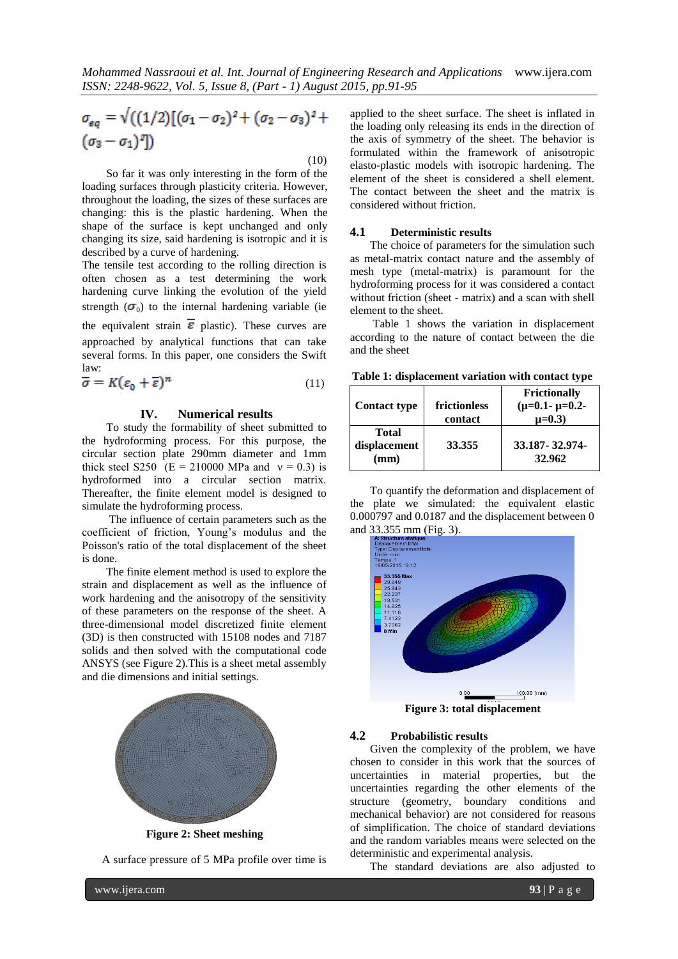$$
\sigma_{eq} = \sqrt{((1/2)[(\sigma_1 - \sigma_2)^2 + (\sigma_2 - \sigma_3)^2 + (\sigma_3 - \sigma_1)^2]}
$$

 (10) So far it was only interesting in the form of the loading surfaces through plasticity criteria. However, throughout the loading, the sizes of these surfaces are changing: this is the plastic hardening. When the shape of the surface is kept unchanged and only changing its size, said hardening is isotropic and it is described by a curve of hardening.

The tensile test according to the rolling direction is often chosen as a test determining the work hardening curve linking the evolution of the yield strength  $(\sigma_0)$  to the internal hardening variable (ie the equivalent strain  $\overline{\epsilon}$  plastic). These curves are approached by analytical functions that can take several forms. In this paper, one considers the Swift law:

$$
\overline{\sigma} = K(\varepsilon_0 + \overline{\varepsilon})^n \tag{11}
$$

#### **IV. Numerical results**

To study the formability of sheet submitted to the hydroforming process. For this purpose, the circular section plate 290mm diameter and 1mm thick steel S250 (E = 210000 MPa and  $v = 0.3$ ) is hydroformed into a circular section matrix. Thereafter, the finite element model is designed to simulate the hydroforming process.

The influence of certain parameters such as the coefficient of friction, Young's modulus and the Poisson's ratio of the total displacement of the sheet is done.

The finite element method is used to explore the strain and displacement as well as the influence of work hardening and the anisotropy of the sensitivity of these parameters on the response of the sheet. A three-dimensional model discretized finite element (3D) is then constructed with 15108 nodes and 7187 solids and then solved with the computational code ANSYS (see Figure 2).This is a sheet metal assembly and die dimensions and initial settings.



**Figure 2: Sheet meshing**

A surface pressure of 5 MPa profile over time is

applied to the sheet surface. The sheet is inflated in the loading only releasing its ends in the direction of the axis of symmetry of the sheet. The behavior is formulated within the framework of anisotropic elasto-plastic models with isotropic hardening. The element of the sheet is considered a shell element. The contact between the sheet and the matrix is considered without friction.

#### **4.1 Deterministic results**

The choice of parameters for the simulation such as metal-matrix contact nature and the assembly of mesh type (metal-matrix) is paramount for the hydroforming process for it was considered a contact without friction (sheet - matrix) and a scan with shell element to the sheet.

Table 1 shows the variation in displacement according to the nature of contact between the die and the sheet

**Table 1: displacement variation with contact type**

| <b>Contact type</b>                  | frictionless<br>contact | <b>Frictionally</b><br>$(\mu=0.1 - \mu=0.2 -$<br>$\mu = 0.3$ |
|--------------------------------------|-------------------------|--------------------------------------------------------------|
| <b>Total</b><br>displacement<br>(mm) | 33.355                  | 33.187-32.974-<br>32.962                                     |

To quantify the deformation and displacement of the plate we simulated: the equivalent elastic 0.000797 and 0.0187 and the displacement between 0



**Figure 3: total displacement**

#### **4.2 Probabilistic results**

Given the complexity of the problem, we have chosen to consider in this work that the sources of uncertainties in material properties, but the uncertainties regarding the other elements of the structure (geometry, boundary conditions and mechanical behavior) are not considered for reasons of simplification. The choice of standard deviations and the random variables means were selected on the deterministic and experimental analysis.

The standard deviations are also adjusted to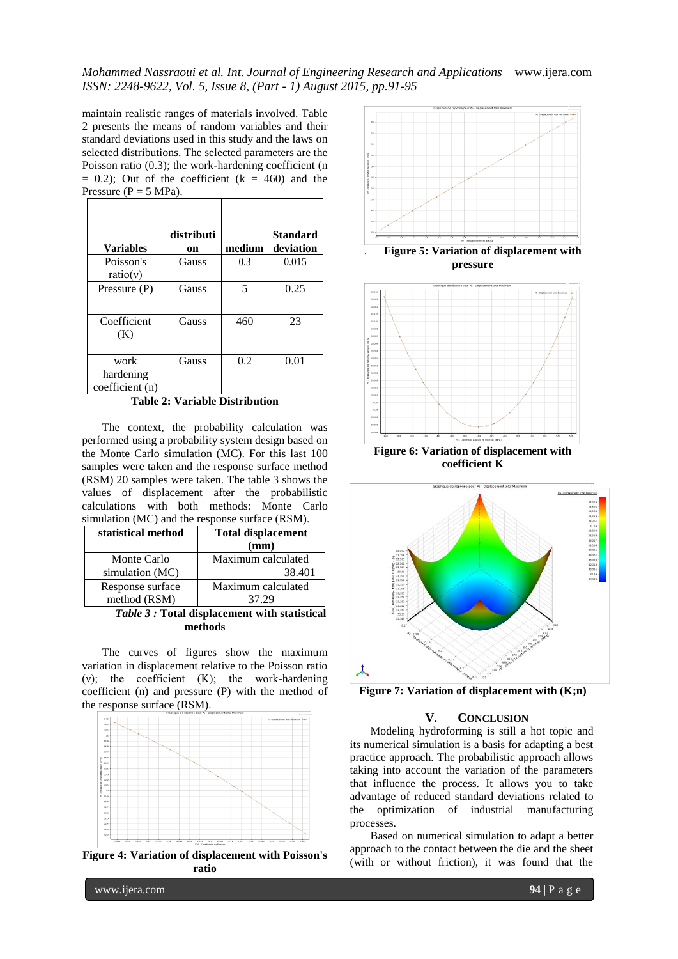*Mohammed Nassraoui et al. Int. Journal of Engineering Research and Applications* www.ijera.com *ISSN: 2248-9622, Vol. 5, Issue 8, (Part - 1) August 2015, pp.91-95*

maintain realistic ranges of materials involved. Table 2 presents the means of random variables and their standard deviations used in this study and the laws on selected distributions. The selected parameters are the Poisson ratio (0.3); the work-hardening coefficient (n  $= 0.2$ ); Out of the coefficient ( $k = 460$ ) and the Pressure ( $P = 5 \text{ MPa}$ ).

| <b>Variables</b>                     | distributi<br>on | medium | <b>Standard</b><br>deviation |
|--------------------------------------|------------------|--------|------------------------------|
| Poisson's<br>ratio(v)                | Gauss            | 0.3    | 0.015                        |
| Pressure $(P)$                       | Gauss            | 5      | 0.25                         |
| Coefficient<br>(K)                   | Gauss            | 460    | 23                           |
| work<br>hardening<br>coefficient (n) | Gauss            | 0.2    | 0.01                         |

**Table 2: Variable Distribution**

The context, the probability calculation was performed using a probability system design based on the Monte Carlo simulation (MC). For this last 100 samples were taken and the response surface method (RSM) 20 samples were taken. The table 3 shows the values of displacement after the probabilistic calculations with both methods: Monte Carlo simulation (MC) and the response surface (RSM).

| statistical method                | <b>Total displacement</b> |  |  |
|-----------------------------------|---------------------------|--|--|
|                                   | (mm)                      |  |  |
| Monte Carlo                       | Maximum calculated        |  |  |
| simulation (MC)                   | 38.401                    |  |  |
| Response surface                  | Maximum calculated        |  |  |
| method (RSM)                      | 37.29                     |  |  |
| $\cdot$ $\cdot$ $\cdot$<br>$\sim$ |                           |  |  |

*Table 3 :* **Total displacement with statistical methods**

The curves of figures show the maximum variation in displacement relative to the Poisson ratio (ν); the coefficient (K); the work-hardening coefficient (n) and pressure (P) with the method of the response surface (RSM).



**Figure 4: Variation of displacement with Poisson's ratio**



**Figure 6: Variation of displacement with coefficient K**



**Figure 7: Variation of displacement with (K;n)**

#### **V. CONCLUSION**

Modeling hydroforming is still a hot topic and its numerical simulation is a basis for adapting a best practice approach. The probabilistic approach allows taking into account the variation of the parameters that influence the process. It allows you to take advantage of reduced standard deviations related to the optimization of industrial manufacturing processes.

Based on numerical simulation to adapt a better approach to the contact between the die and the sheet (with or without friction), it was found that the

www.ijera.com **94** | P a g e